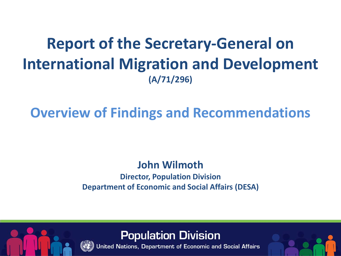### **Report of the Secretary-General on International Migration and Development (A/71/296)**

### **Overview of Findings and Recommendations**

#### **John Wilmoth Director, Population Division Department of Economic and Social Affairs (DESA)**



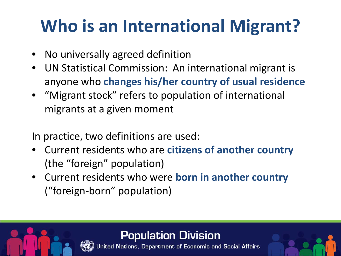# **Who is an International Migrant?**

- No universally agreed definition
- UN Statistical Commission: An international migrant is anyone who **changes his/her country of usual residence**
- "Migrant stock" refers to population of international migrants at a given moment

In practice, two definitions are used:

- Current residents who are **citizens of another country**  (the "foreign" population)
- Current residents who were **born in another country**  ("foreign-born" population)

**Population Division**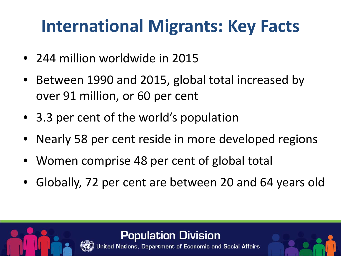# **International Migrants: Key Facts**

- 244 million worldwide in 2015
- Between 1990 and 2015, global total increased by over 91 million, or 60 per cent
- 3.3 per cent of the world's population
- Nearly 58 per cent reside in more developed regions
- Women comprise 48 per cent of global total
- Globally, 72 per cent are between 20 and 64 years old

**Population Division**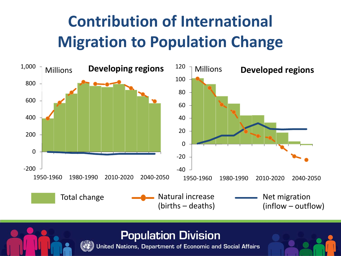# **Contribution of International Migration to Population Change**



**Population Division**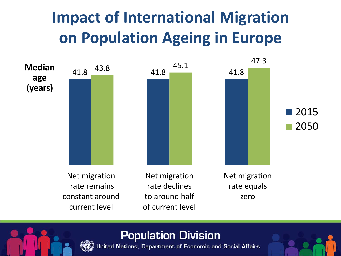## **Impact of International Migration on Population Ageing in Europe**



#### **Population Division**

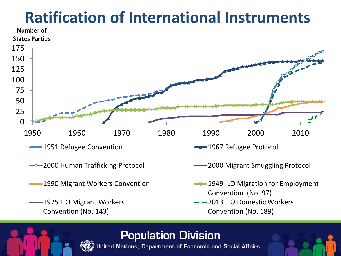### **Ratification of International Instruments**

**Number of States Parties**



**Population Division**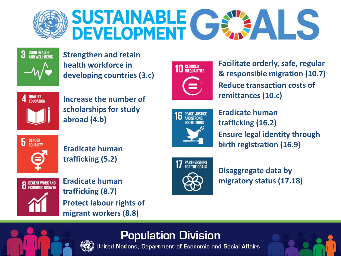

**GOOD HEALTH<br>AND WELL-BEING** 3

**Strengthen and retain health workforce in developing countries (3.c)**



**Increase the number of scholarships for study abroad (4.b)**



**16** PEACE, JUSTICE

**Eradicate human trafficking (16.2) Ensure legal identity through birth registration (16.9)**

**Facilitate orderly, safe, regular** 

**& responsible migration (10.7)**

**Reduce transaction costs of** 

**remittances (10.c)**

**GENDER**<br>EQUALITY 5

**Eradicate human trafficking (5.2)**

**DECENT WORK AND<br>ECONOMIC GROWTH** 

**Eradicate human trafficking (8.7) Protect labour rights of migrant workers (8.8)**



**Disaggregate data by migratory status (17.18)**

#### **Population Division**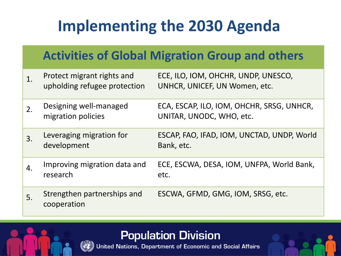## **Implementing the 2030 Agenda**

### **Activities of Global Migration Group and others**

| $\mathbf{1}$ . | Protect migrant rights and<br>upholding refugee protection | ECE, ILO, IOM, OHCHR, UNDP, UNESCO,<br>UNHCR, UNICEF, UN Women, etc.  |
|----------------|------------------------------------------------------------|-----------------------------------------------------------------------|
| 2.             | Designing well-managed<br>migration policies               | ECA, ESCAP, ILO, IOM, OHCHR, SRSG, UNHCR,<br>UNITAR, UNODC, WHO, etc. |
| 3.             | Leveraging migration for<br>development                    | ESCAP, FAO, IFAD, IOM, UNCTAD, UNDP, World<br>Bank, etc.              |
| 4.             | Improving migration data and<br>research                   | ECE, ESCWA, DESA, IOM, UNFPA, World Bank,<br>etc.                     |
| 5.             | Strengthen partnerships and<br>cooperation                 | ESCWA, GFMD, GMG, IOM, SRSG, etc.                                     |

**Population Division** 

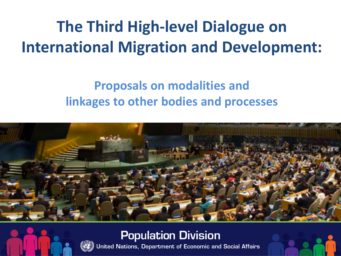# **The Third High-level Dialogue on International Migration and Development:**

### **Proposals on modalities and linkages to other bodies and processes**



#### **Population Division**

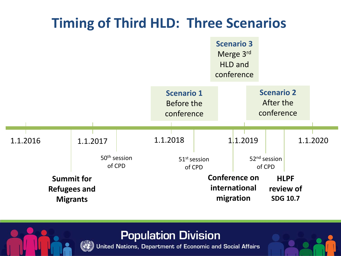

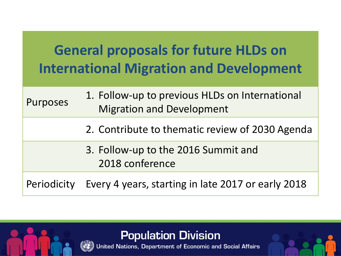### **General proposals for future HLDs on International Migration and Development**

- **Purposes** 1. Follow-up to previous HLDs on International Migration and Development
	- 2. Contribute to thematic review of 2030 Agenda
	- 3. Follow-up to the 2016 Summit and 2018 conference

Periodicity Every 4 years, starting in late 2017 or early 2018